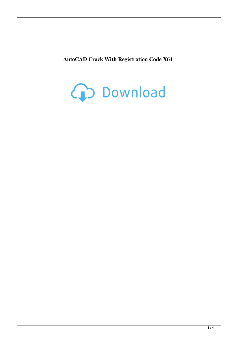**AutoCAD Crack With Registration Code X64**

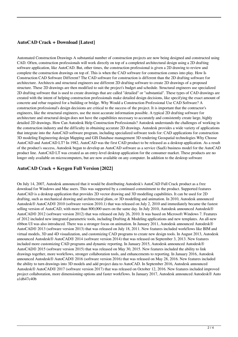## **AutoCAD Crack + Download [Latest]**

Automated Construction Drawings A substantial number of construction projects are now being designed and constructed using CAD. Often, construction professionals will work directly on top of a completed architectural design using a 2D drafting software application, like AutoCAD. But, other times, the construction professional is given a 2D drawing to review and complete the construction drawings on top of. This is when the CAD software for construction comes into play. How Is Construction CAD Software Different? The CAD software for construction is different than the 2D drafting software for architecture. Architects and structural engineers use different 2D drafting software to create 2D drawings of a proposed structure. These 2D drawings are then modified to suit the project's budget and schedule. Structural engineers use specialized 2D drafting software that is used to create drawings that are called "detailed" or "substantial". These types of CAD drawings are created with the intent of helping construction professionals make detailed design decisions, like specifying the exact amount of concrete and rebar required for a building or bridge. Why Would a Construction Professional Use CAD Software? A construction professional's design decisions are critical to the success of the project. It is important that the contractor's engineers, like the structural engineers, use the most accurate information possible. A typical 2D drafting software for architecture and structural design does not have the capabilities necessary to accurately and consistently create large, highly detailed 2D drawings. How Can Autodesk Help Construction Professionals? Autodesk understands the challenges of working in the construction industry and the difficulty in obtaining accurate 2D drawings. Autodesk provides a wide variety of applications that integrate into the AutoCAD software program, including specialized software tools for: CAD applications for construction 3D modeling Engineering design Mapping and GIS Database management 3D rendering Geospatial technologies Why Choose AutoCAD and AutoCAD LT? In 1982, AutoCAD was the first CAD product to be released as a desktop application. As a result of the product's success, Autodesk began to develop an AutoCAD software as a service (SaaS) business model for the AutoCAD product line. AutoCAD LT was created as an entry-level desktop application for the consumer market. These products are no longer only available on microcomputers, but are now available on any computer. In addition to the desktop software

# **AutoCAD Crack + Keygen Full Version [2022]**

On July 14, 2007, Autodesk announced that it would be distributing Autodesk's AutoCAD Full Crack product as a free download for Windows and Mac users. This was supported by a continued commitment to the product. Supported features AutoCAD is a desktop application that provides 2D vector drawing and 3D modelling capabilities. It can be used for 2D drafting, such as mechanical drawing and architectural plans, or 3D modelling and animation. In 2010, Autodesk announced Autodesk® AutoCAD® 2010 (software version 2010.1) that was released on July 2, 2010 and immediately became the fastest selling version of AutoCAD, with more than 800,000 users on the same day. In July 2010, Autodesk announced Autodesk<sup>®</sup> AutoCAD® 2012 (software version 2012) that was released on July 26, 2010. It was based on Microsoft Windows 7. Features of 2012 included new integrated parametric tools, including Drafting & Modeling applications and new templates. An all-new ribbon UI was also introduced. There was a stronger focus on animation. In January 2011, Autodesk announced Autodesk® AutoCAD® 2013 (software version 2013) that was released on July 18, 2011. New features included workflows like BIM and virtual models, 3D and 4D visualization, and customizing CAD programs to create new design tools. In August 2013, Autodesk announced Autodesk® AutoCAD® 2014 (software version 2014) that was released on September 3, 2013. New features included more customizing CAD programs and dynamic reporting. In January 2015, Autodesk announced Autodesk<sup>®</sup> AutoCAD® 2015 (software version 2015) that was released on May 30, 2015. New features included the ability to link drawings together, more workflows, stronger collaboration tools, and enhancements to reporting. In January 2016, Autodesk announced Autodesk® AutoCAD® 2016 (software version 2016) that was released on May 28, 2016. New features included the ability to turn drawings into 3D models and add project data to AutoCAD. In September 2016, Autodesk announced Autodesk® AutoCAD® 2017 (software version 2017) that was released on October 12, 2016. New features included improved project collaboration, more dimensioning options and faster workflows. In January 2017, Autodesk announced Autodesk® Auto a1d647c40b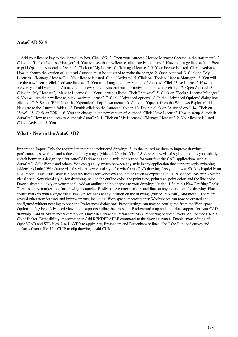## **AutoCAD X64**

1. Add your license key to the license key box. Click OK. 2. Open your Autocad License Manager (located in the start menu). 3. Click on "Tools > License Manager". 4. You will see the new license, click "activate license". How to change license from Free to paid Open the Autocad software. 2. Click on "My Licenses", "Manage Licenses". 3. Your license is listed. Click "Activate". How to change the version of Autocad Autocad must be activated to make the change. 2. Open Autocad. 3. Click on "My Licenses", "Manage Licenses". 4. Your license is listed. Click "Activate". 5. Click on "Tools > License Manager". 6. You will see the new license, click "activate license". 7. You can change to a new version of Autocad. Click "Save License". How to convert your old version of Autocad to the new version Autocad must be activated to make the change. 2. Open Autocad. 3. Click on "My Licenses", "Manage Licenses". 4. Your license is listed. Click "Activate". 5. Click on "Tools > License Manager". 6. You will see the new license, click "activate license". 7. Click "Advanced options". 8. In the "Advanced Options" dialog box, click on "". 9. Select "File" from the "Operation" drop-down menu. 10. Click on "Open > from the Windows Explorer". 11. Navigate to the Autocad folder. 12. Double-click on the "autocad" folder. 13. Double-click on "Autocad.exe". 14. Click on "Save". 15. Click on "OK". 16. You can change to the new version of Autocad. Click "Save License". How to setup Autodesk AutoCAD How to add users to Autodesk AutoCAD 1. Click on "My Licenses", "Manage Licenses". 2. Your license is listed. Click "Activate". 3. You

#### **What's New in the AutoCAD?**

Import and Import Only the required markers to uncluttered drawings. Skip the unused markers to improve drawing performance, save time, and reduce memory usage. (video: 1:29 min.) Visual Styles: A new visual style option lets you quickly switch between a design style for AutoCAD drawings and a style that is used for your favorite CAD applications such as AutoCAD, SolidWorks and others. You can quickly switch between any style in any application that supports style switching (video: 1:35 min.) Wireframe visual style: A new visual style for wireframe CAD drawings lets you draw a 2D sketch quickly on a 3D model. This visual style is especially useful for workflow applications such as exporting to DGN. (video: 1:49 min.) Sketch visual style: New visual styles for sketching include the outline color, the point type, point size, point color, and the line color. Draw a sketch quickly on your model. Add an outline and point types to your drawings. (video: 1:36 min.) New Drafting Tools: There is a new marker tool for drawing rectangles. Easily place corner markers and lines at any location on the drawing. Place corner markers with a single click. Easily place lines at any location on the drawing. (video: 1:16 min.) And more... There are several other new features and improvements, including: Workspace improvements: Workspaces can now be created and configured without needing to open the Preferences dialog box. Preset settings can now be configured from the Workspace Options dialog box. Advanced view mode supports hiding the crosshair. Background map and underline support for AutoCAD drawings. Add or edit markers directly on a layer in a drawing. Permanent MVC rendering of some layers. An updated CMYK Color Picker. Extensibility improvements: Add RENDERABLE command to the drawing syntax. Enable smart editing of OpenSCAD and STL files. Use LAYER to apply Arc, Bresenham and Bresenham to lines. Use LOAD to load curves and surfaces from a file. Use CLIP to clip drawings. Add CUR